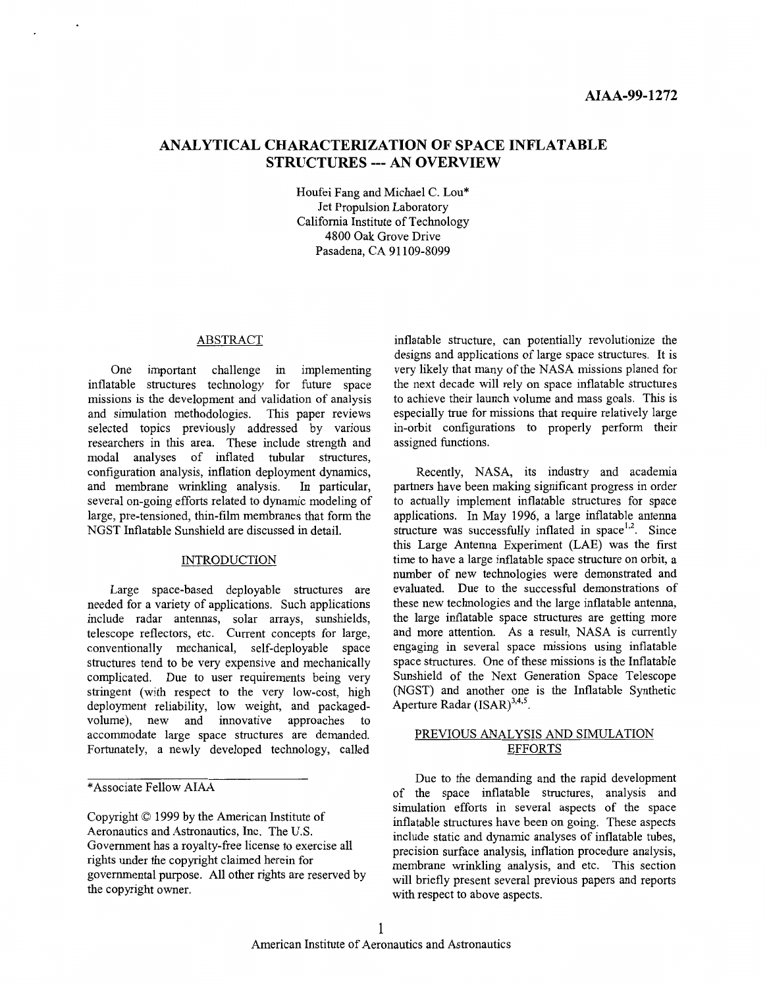## <span id="page-0-0"></span>**ANALYTICAL CHARACTERIZATION OF SPACE INFLATABLE STRUCTURES** --- **AN OVERVIEW**

Houfei Fang and Michael C. Lou\* Jet Propulsion Laboratory California Institute of Technology 4800 Oak Grove Drive Pasadena, CA 91 109-8099

### ABSTRACT

One important challenge in implementing inflatable structures technology for future space missions is the development and validation of analysis and simulation methodologies. This paper reviews selected topics previously addressed by various researchers in this area. These include strength and modal analyses of inflated tubular structures, configuration analysis, inflation deployment dynamics, and membrane wrmkling analysis. In particular, several on-going efforts related to dynamic modeling of large, pre-tensioned, thin-film membranes that form the NGST Inflatable Sunshield are discussed in detail.

### INTRODUCTION

Large space-based deployable structures are needed for a variety of applications. Such applications include radar antennas, solar arrays, sunshields, telescope reflectors, etc. Current concepts for large, conventionally mechanical, sef-deployable space structures tend to be very expensive and mechanically complicated. Due to user requirements being very stringent (with respect *to* the very low-cost, high deployment reliability, low weight, and packagedvolume), new and innovative approaches to accommodate large space structures are demanded. Fortunately, a newly developed technology, called

inflatable structure, can potentially revolutionize the designs and applications of large space structures. It is very likely that many of the NASA missions planed for the next decade will rely on space inflatable structures to achieve their launch volume and mass goals. This is especially true for missions that require relatively large in-orbit configurations to properly perform their assigned functions.

Recently, NASA, its industry and academia partners have been making significant progress in order *to* actually implement inflatable structures for space applications. In May 1996, a large inflatable antenna structure was successfully inflated in space $1,2$ . Since this Large Antenna Experiment (LAE) was the first time to have a large inflatable space structure on orbit, a number of new technologies were demonstrated and evaluated. Due to the successful demonstrations of these new technologies and the large inflatable antenna, the large inflatable space structures are getting more and more attention. As a result, NASA is currently engaging in several space missions using inflatable space structures. One of these missions is the Inflatable Sunshield of the Next Generation Space Telescope (NGST) and another one is the Inflatable Synthetic Aperture Radar  $(ISAR)^{3,4,5}$ .

### PREVIOUS ANALYSIS AND SIMULATION EFFORTS

Due to the demanding and the rapid development of the space inflatable structures, analysis and simulation efforts in several aspects of the space inflatable structures have been on going. These aspects include static and dynamic analyses of inflatable tubes, precision surface analysis, inflation procedure analysis, membrane wrinkling analysis, and etc. This section will briefly present several previous papers and reports with respect to above aspects.

<sup>\*</sup>Associate Fellow AIAA

Copyright *0* 1999 by the American Institute of Aeronautics and Astronautics, Inc. The U.S. Government has a royalty-free license to exercise all rights under the copyright claimed herein for governmental purpose. All other rights are reserved by the copyright owner.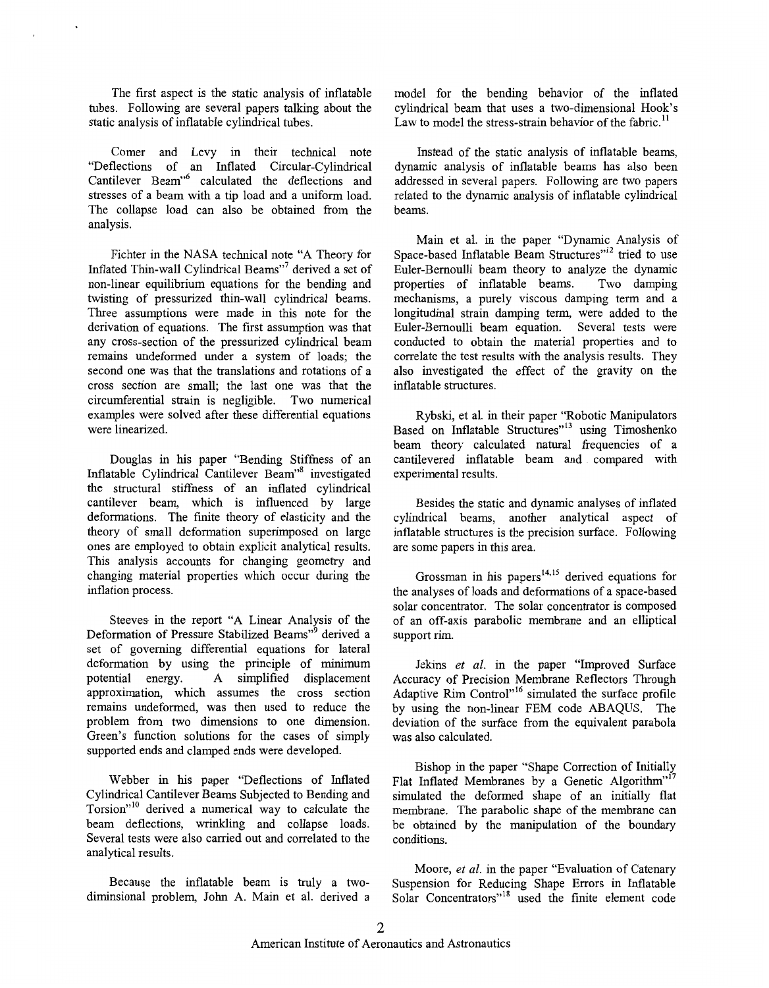<span id="page-1-0"></span>The first aspect is the static analysis of inflatable tubes. Following are several papers talking about the static analysis of inflatable cylindrical tubes.

Comer and Levy in their technical note "Deflections of an Inflated Circular-Cylindrical Cantilever Beam"6 calculated the deflections and stresses of a beam with a tip load and a uniform load. The collapse load can also be obtained from the analysis.

Fichter in the NASA technical note "A Theory for Inflated Thin-wall Cylindrical Beams"' derived a set of non-linear equilibrium equations for the bending and twisting of pressurized thin-wall cylindrical beams. Three assumptions were made in this note for the derivation of equations. The first assumption was that any cross-section of the pressurized cylindrical beam remains undeformed under a system of loads; the second one was that the translations and rotations of a cross section are small; the last one was that the circumferential strain is negligible. Two numerical examples were solved after these differential equations were linearized.

Douglas in his paper "Bending Stiffness of an Inflatable Cylindrical Cantilever Beam"8 investigated the structural stiffness of an inflated cylindrical cantilever beam, which is influenced by large deformations. The finite theory of elasticity and the theory of small deformation superimposed on large ones are employed to obtain explicit analytical results. This analysis accounts for changing geometry and changing material properties which occur during the inflation process.

Steeves in the report "A Linear Analysis of the Deformation of Pressure Stabilized Beams"<sup>9</sup> derived a set of governing differential equations for lateral deformation by using the principle of minimum<br>potential energy. A simplified displacement A simplified displacement approximation, which assumes the cross section remains undeformed, was then used to reduce the problem from two dimensions to one dimension. Green's function solutions for the cases of simply supported ends and clamped ends were developed.

Webber in his paper "Deflections of Inflated Cylindrical Cantilever Beams Subjected to Bending and Torsion"<sup>10</sup> derived a numerical way to calculate the beam deflections, wrinkling and collapse loads. Several tests were also carried out and correlated to the analytical results.

Because the inflatable beam is truly a twodiminsional problem, John A. Main et al. derived a model for the bending behavior of the inflated cylindrical beam that uses a two-dimensional Hook's Law to model the stress-strain behavior of the fabric.<sup>1</sup>

Instead of the static analysis of inflatable beams, dynamic analysis of inflatable beams has also been addressed in several papers. Following are two papers related to the dynamic analysis of inflatable cylindrical beams.

Main et al. in the paper "Dynamic Analysis of Space-based Inflatable Beam Structures"<sup>12</sup> tried to use Euler-Bernoulli beam theory to analyze the dynamic<br>properties of inflatable beams. Two damping properties of inflatable beams. mechanisms, a purely viscous damping term and a longitudinal strain damping term, were added to the Euler-Bernoulli beam equation. Several tests were conducted to obtain the material properties and to correlate the test results with the analysis results. They also investigated the effect of the gravity on the inflatable structures.

Rybski, et al. in their paper "Robotic Manipulators Based on Inflatable Structures"13 using Timoshenko beam theory calculated natural frequencies of a cantilevered inflatable beam and compared with experimental results.

Besides the static and dynamic analyses of inflated cylindrical beams, another analytical aspect of inflatable structures is the precision surface. Following are some papers in this area.

Grossman in his papers<sup>14,15</sup> derived equations for the analyses of loads and deformations of a space-based solar concentrator. The solar concentrator is composed of an off-axis parabolic membrane and an elliptical support rim.

Jekins *et al.* in the paper "Improved Surface Accuracy of Precision Membrane Reflectors Through Adaptive Rim Control<sup>"'6</sup> simulated the surface profile by using the non-linear FEM code ABAQUS. The deviation of the surface from the equivalent parabola was also calculated.

Bishop in the paper "Shape Correction of Initially Flat Inflated Membranes by a Genetic Algorithm"<sup>17</sup> simulated the deformed shape of an initially flat membrane. The parabolic shape of the membrane can be obtained by the manipulation of the boundary conditions.

Moore, *et al.* in the paper "Evaluation of Catenary Suspension for Reducing Shape Errors in Inflatable Suspension for reducing single Errors in immutative Solar Concentrators"<sup>18</sup> used the finite element code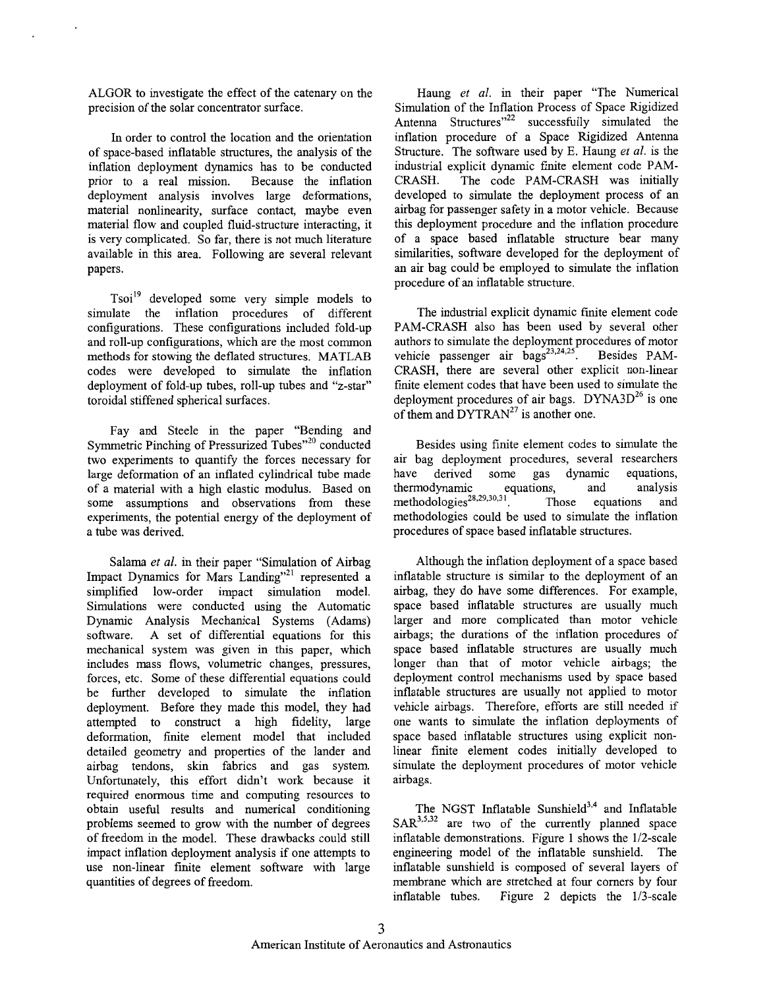<span id="page-2-0"></span>ALGOR to investigate the effect of the catenary on the precision of the solar concentrator surface.

In order to control the location and the orientation of space-based inflatable structures, the analysis of the inflation deployment dynamics has to be conducted prior to a real mission. Because the inflation deployment analysis involves large deformations, material nonlinearity, surface contact, maybe even material flow and coupled fluid-structure interacting, it is very complicated. So far, there is not much literature available in this area. Following are several relevant papers.

Tsoi" developed some very simple models to simulate the inflation procedures of different configurations. These configurations included fold-up and roll-up configurations, which are the most common methods for stowing the deflated structures. MATLAB codes were developed to simulate the inflation deployment of fold-up tubes, roll-up tubes and "z-star" toroidal stiffened spherical surfaces.

Fay and Steele in the paper "Bending and Symmetric Pinching of Pressurized Tubes"20 conducted two experiments to quantify the forces necessary for large deformation of an inflated cylindrical tube made of a material with a high elastic modulus. Based on some assumptions and observations from these experiments, the potential energy of the deployment of a tube was derived.

Salama *et al.* in their paper "Simulation of Airbag Impact Dynamics for Mars Landing"<sup>21</sup> represented a simplified low-order impact simulation model. Simulations were conducted using the Automatic Dynamic Analysis Mechanical Systems (Adams) software. A set of differential equations for this mechanical system was given in this paper, which includes mass flows, volumetric changes, pressures, forces, etc. Some of these differential equations could be further developed to simulate the inflation deployment. Before they made this model, they had attempted to construct a high fidelity, large deformation, finite element model that included detailed geometry and properties of the lander and airbag tendons, skin fabrics and gas system. Unfortunately, this effort didn't work because it required enormous time and computing resources to obtain useful results and numerical conditioning problems seemed to grow with the number of degrees of freedom in the model. These drawbacks could still impact inflation deployment analysis if one attempts to use non-linear finite element software with large quantities of degrees of freedom.

Haung *et al.* in their paper "The Numerical Simulation of the Inflation Process of Space Rigidized Antenna Structures"<sup>22</sup> successfully simulated the inflation procedure of a Space Rigidized Antenna Structure. The software used by E. Haung *et al.* is the industrial explicit dynamic finite element code PAM-CRASH. The code PAM-CRASH was initially developed to simulate the deployment process of an airbag for passenger safety in a motor vehicle. Because this deployment procedure and the inflation procedure of a space based inflatable structure bear many similarities, software developed for the deployment of an air bag could be employed to simulate the inflation procedure of an inflatable structure.

The industrial explicit dynamic finite element code PAM-CRASH also has been used by several other authors to simulate the deployment procedures of motor vehicle passenger air bags<sup>23,24,25</sup>. Besides PAM-CRASH, there are several other explicit non-linear finite element codes that have been used to simulate the deployment procedures of air bags. DYNA3 $D^{26}$  is one of them and  $DYTRAN^{27}$  is another one.

Besides using finite element codes to simulate the air bag deployment procedures, several researchers have derived some gas dynamic equations, thermodynamic equations, and analysis methodologies<sup>28,29,30,31</sup>. Those equations and methodologies<sup>28,29,30,31</sup>. Those equations and methodologies could be used to simulate the inflation procedures of space based inflatable structures.

Although the inflation deployment of a space based inflatable structure is similar to the deployment of an airbag, they do have some differences. For example, space based inflatable structures are usually much larger and more complicated than motor vehicle airbags; the durations of the inflation procedures of space based inflatable structures are usually much longer than that of motor vehicle airbags; the deployment control mechanisms used by space based inflatable structures are usually not applied to motor vehicle airbags. Therefore, efforts are still needed if one wants to simulate the inflation deployments of space based inflatable structures using explicit nonlinear finite element codes initially developed to simulate the deployment procedures of motor vehicle airbags.

The NGST Inflatable Sunshield $^{3,4}$  and Inflatable SAR<sup>3,5,32</sup> are two of the currently planned space inflatable demonstrations. Figure 1 shows the 1/2-scale engineering model of the inflatable sunshield. The inflatable sunshield is composed of several layers of membrane which are stretched at four corners by four inflatable tubes. [Figure](#page-3-0) **2** depicts the 1/3-scale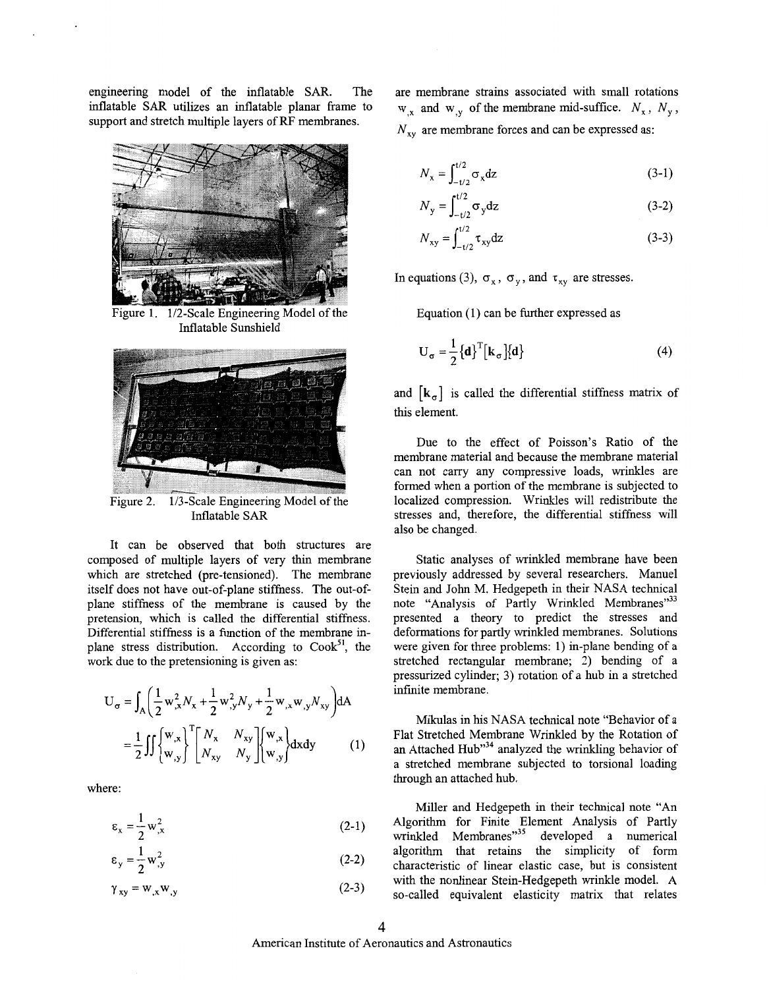<span id="page-3-0"></span>engineering model of the inflatable SAR. The inflatable SAR utilizes an inflatable planar frame to support and stretch multiple layers of RF membranes.



1/2-Scale Engineering Model of the Figure 1. Inflatable Sunshield



Figure 2. 1/3-Scale Engineering Model of the Inflatable SAR

It can be observed that both structures are composed of multiple layers of very thin membrane which are stretched (pre-tensioned). The membrane itself does not have out-of-plane stiffness. The out-ofplane stiffness of the membrane is caused by the pretension, which is called the differential stiffness. Differential stiffness is a function of the membrane inplane stress distribution. According to  $Cook<sup>51</sup>$ , the work due to the pretensioning is given as:

$$
U_{\sigma} = \int_{A} \left( \frac{1}{2} w_{,x}^{2} N_{x} + \frac{1}{2} w_{,y}^{2} N_{y} + \frac{1}{2} w_{,x} w_{,y} N_{xy} \right) dA
$$
  

$$
= \frac{1}{2} \iint_{W,y} \begin{bmatrix} w_{,x} \\ w_{,y} \end{bmatrix}^{T} \begin{bmatrix} N_{x} & N_{xy} \\ N_{xy} & N_{y} \end{bmatrix} \begin{bmatrix} w_{,x} \\ w_{,y} \end{bmatrix} dxdy
$$
(1)

where:

$$
\varepsilon_{x} = \frac{1}{2} w_{,x}^{2} \tag{2-1}
$$

$$
\varepsilon_{y} = \frac{1}{2} w_{,y}^{2} \tag{2-2}
$$

$$
\gamma_{xy} = w_{,x} w_{,y} \tag{2-3}
$$

are membrane strains associated with small rotations  $w_{,x}$  and  $w_{,y}$  of the membrane mid-suffice.  $N_x$ ,  $N_y$ ,  $N_{xy}$  are membrane forces and can be expressed as:

$$
N_{\mathbf{x}} = \int_{-t/2}^{t/2} \sigma_{\mathbf{x}} \mathrm{d}\mathbf{z} \tag{3-1}
$$

$$
N_{y} = \int_{-t/2}^{t/2} \sigma_{y} dz
$$
 (3-2)

$$
N_{xy} = \int_{-t/2}^{t/2} \tau_{xy} dz
$$
 (3-3)

In equations (3),  $\sigma_x$ ,  $\sigma_y$ , and  $\tau_{xy}$  are stresses.

Equation (1) can be further expressed as

$$
U_{\sigma} = \frac{1}{2} \{ \mathbf{d} \}^{T} [\mathbf{k}_{\sigma}] \{ \mathbf{d} \}
$$
 (4)

and  $\begin{bmatrix} \mathbf{k}_{\sigma} \end{bmatrix}$  is called the differential stiffness matrix of this element.

Due to the effect of Poisson's Ratio of the membrane material and because the membrane material can not carry any compressive loads, wrinkles are formed when a portion of the membrane is subjected to localized compression. Wrinkles will redistribute the stresses and, therefore, the differential stiffness will also be changed.

Static analyses of wrinkled membrane have been previously addressed by several researchers. Manuel Stein and John M. Hedgepeth in their NASA technical note "Analysis of Partly Wrinkled Membranes"<sup>33</sup> presented a theory to predict the stresses and deformations for partly wrinkled membranes. Solutions were given for three problems: 1) in-plane bending of a stretched rectangular membrane; 2) bending of a pressurized cylinder; 3) rotation of a hub in a stretched infinite membrane.

Mikulas in his NASA technical note "Behavior of a Flat Stretched Membrane Wrinkled by the Rotation of an Attached Hub"34 analyzed the wrinkling behavior of a stretched membrane subjected to torsional loading through an attached hub.

Miller and Hedgepeth in their technical note "An Algorithm for Finite Element Analysis of Partly wrinkled Membranes"<sup>35</sup> developed a numerical algorithm that retains the simplicity of form characteristic of linear elastic case, but is consistent with the nonlinear Stein-Hedgepeth wrinkle model. A so-called equivalent elasticity matrix that relates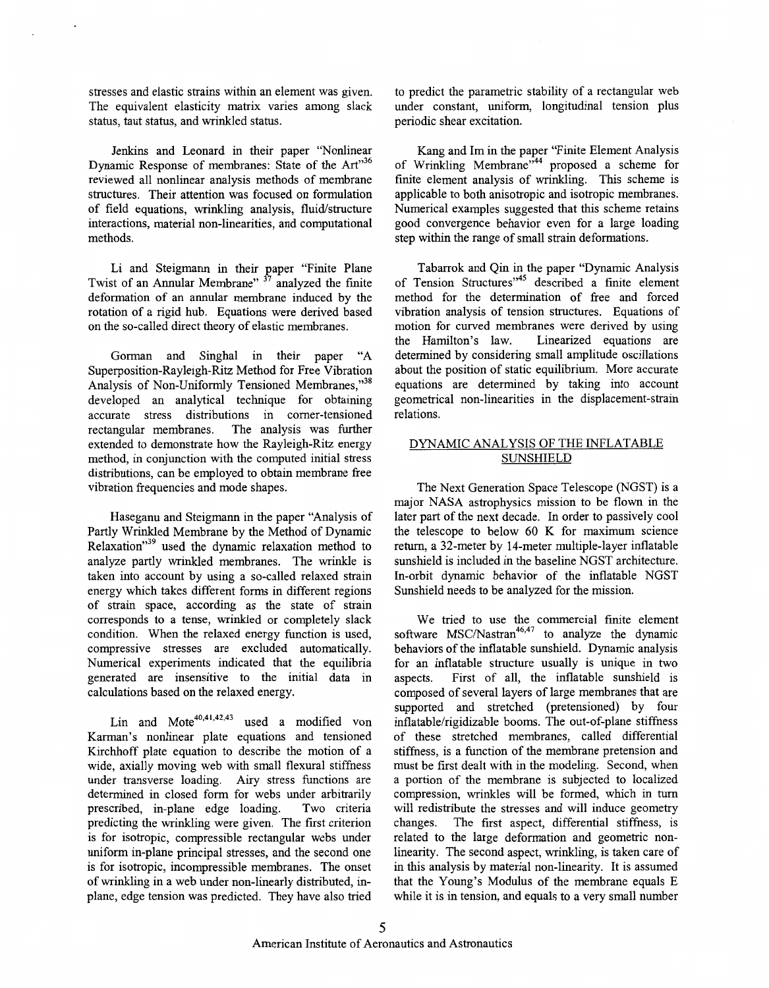stresses and elastic strains within an element was given. The equivalent elasticity matrix varies among slack status, taut status, and wrinkled status.

Jenkins and Leonard in their paper "Nonlinear Dynamic Response of membranes: State of the *Art"36*  reviewed all nonlinear analysis methods of membrane structures. Their attention was focused on formulation of field equations, wrinkling analysis, fluid/structure interactions, material non-linearities, and computational methods.

Li and Steigmann in their paper "Finite Plane Twist of an Annular Membrane" **37** analyzed the finite deformation of an annular membrane induced by the rotation of a rigid hub. Equations were derived based on the so-called direct theory of elastic membranes.

Gorman and Singhal in their paper "A Superposition-Rayleigh-Ritz Method for Free Vibration Analysis of Non-Uniformly Tensioned Membranes,"<sup>38</sup> developed an analytical technique for obtaining accurate stress distributions in comer-tensioned The analysis was further extended to demonstrate how the Rayleigh-Ritz energy method, in conjunction with the computed initial stress distributions, can be employed to obtain membrane free vibration frequencies and mode shapes.

Haseganu and Steigmann in the paper "Analysis of Partly Wrinkled Membrane by the Method of Dynamic Relaxation"<sup>39</sup> used the dynamic relaxation method to analyze partly wrinkled membranes. The wrinkle is taken into account by using a so-called relaxed strain energy which takes different forms in different regions of strain space, according as the state of strain corresponds to a tense, wrinkled or completely slack condition. When the relaxed energy function is used, compressive stresses are excluded automatically. Numerical experiments indicated that the equilibria generated are insensitive to the initial data in calculations based on the relaxed energy.

Lin and  $\text{Mote}^{40,41,42,43}$  used a modified von Karman's nonlinear plate equations and tensioned Kirchhoff plate equation to describe the motion of a wide, axially moving web with small flexural stiffness under transverse loading. Airy stress functions are determined in closed form for webs under arbitrarily prescribed, in-plane edge loading. Two criteria predicting the wrinkling were given. The first criterion is for isotropic, compressible rectangular webs under uniform in-plane principal stresses, and the second one is for isotropic, incompressible membranes. The onset of wrinkling in a web under non-linearly distributed, inplane, edge tension was predicted. They have also tried

to predict the parametric stability of a rectangular web under constant, uniform, longitudinal tension plus periodic shear excitation.

Kang and Im in the paper "Finite Element Analysis of Wrinkling Membrane"<sup>44</sup> proposed a scheme for finite element analysis of wrinkling. This scheme is applicable to both anisotropic and isotropic membranes. Numerical examples suggested that this scheme retains good convergence behavior even for a large loading step within the range of small strain deformations.

Tabarrok and Qin in the paper "Dynamic Analysis of Tension Structures"45 described a finite element method for the determination of free and forced vibration analysis of tension structures. Equations of motion for curved membranes were derived by using the Hamilton's law. Linearized equations are determined by considering small amplitude oscillations about the position of static equilibrium. More accurate equations are determined by taking into account geometrical non-linearities in the displacement-strain relations.

### DYNAMIC ANALYSIS OF THE INFLATABLE SUNSHIELD

The Next Generation Space Telescope (NGST) is a major NASA astrophysics mission to be flown in the later part of the next decade. In order to passively cool the telescope to below *60* K for maximum science return, a 32-meter by 14-meter multiple-layer inflatable sunshield is included in the baseline NGST architecture. In-orbit dynamic behavior of the inflatable NGST Sunshield needs to be analyzed for the mission.

We tried to use the commercial finite element software  $MSC/Nastran<sup>46,47</sup>$  to analyze the dynamic behaviors of the inflatable sunshield. Dynamic analysis for an inflatable structure usually is unique in two aspects. First of all, the inflatable sunshield is composed of several layers of large membranes that are supported and stretched (pretensioned) by four inflatable/rigidizable booms. The out-of-plane stiffness of these stretched membranes, called differential stiffness, is a function of the membrane pretension and must be first dealt with in the modeling. Second, when a portion of the membrane is subjected to localized compression, wrinkles will be formed, which in turn will redistribute the stresses and will induce geometry changes. The first aspect, differential stiffness, is related to the large deformation and geometric nonlinearity. The second aspect, wrinkling, is taken care of in this analysis by material non-linearity. It is assumed that the Young's Modulus of the membrane equals E while it is in tension, and equals to a very small number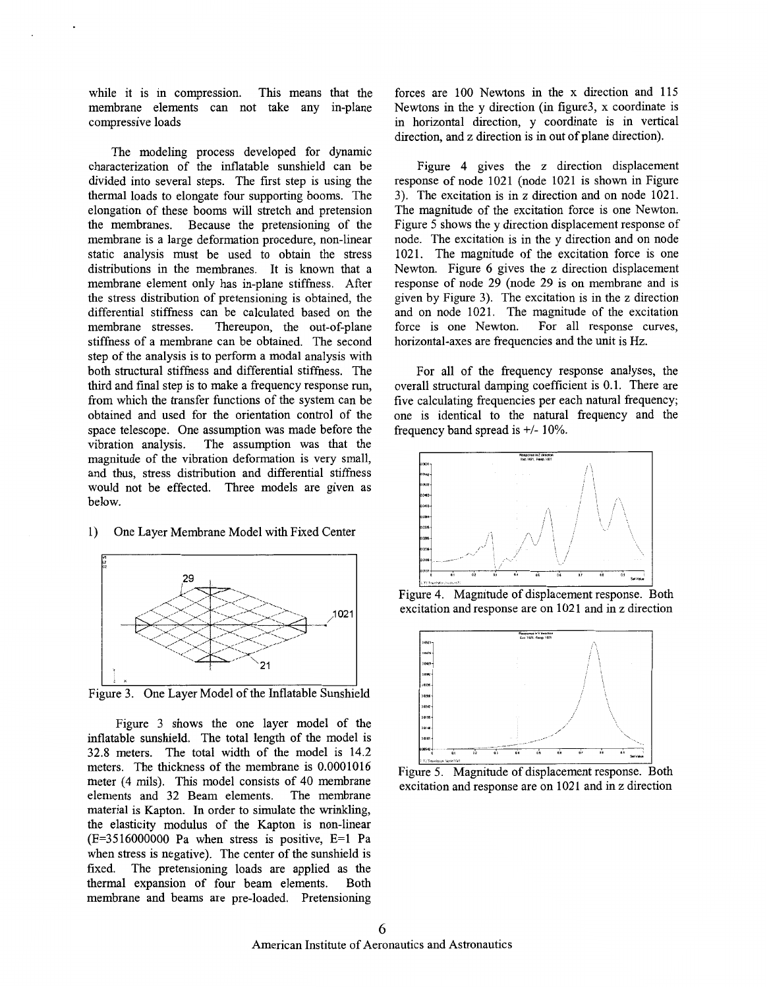<span id="page-5-0"></span>while it is in compression. This means that the membrane elements can not take any in-plane compressive loads

The modeling process developed for dynamic characterization of the inflatable sunshield can be divided into several steps. The first step is using the thermal loads to elongate four supporting booms. The elongation of these booms will stretch and pretension the membranes. Because the pretensioning of the membrane is a large deformation procedure, non-linear static analysis must be used to obtain the stress distributions in the membranes. It is known that a membrane element only has in-plane stiffness. After the stress distribution of pretensioning is obtained, the differential stiffness can be calculated based on the membrane stresses. Thereupon, the out-of-plane Thereupon, the out-of-plane stiffness of a membrane can be obtained. The second step of the analysis is to perform a modal analysis with both structural stiffness and differential stiffness. The third and final step is to make a frequency response run, from which the transfer functions of the system can be obtained and used for the orientation control of the space telescope. One assumption was made before the vibration analysis. The assumption was that the The assumption was that the magnitude of the vibration deformation is very small, and thus, stress distribution and differential stiffness would not be effected. Three models are given as below.

# າດ 1021  $21$

1) One Layer Membrane Model with Fixed Center

Figure 3. One Layer Model of the Inflatable Sunshield

Figure 3 shows the one layer model of the inflatable sunshield. The total length of the model is 32.8 meters. The total width of the model is 14.2 meters. The thickness of the membrane is 0.0001016 meter (4 mils). This model consists of 40 membrane elements and 32 Beam elements. The membrane material is Kapton. In order to simulate the wrinkling, the elasticity modulus of the Kapton is non-linear  $(E=3516000000$  Pa when stress is positive,  $E=1$  Pa when stress is negative). The center of the sunshield is fixed. The pretensioning loads are applied as the thermal expansion of four beam elements. Both membrane and beams are pre-loaded. Pretensioning

forces are 100 Newtons in the x direction and 115 Newtons in the y direction (in figure3, x coordinate is in horizontal direction, y coordinate is in vertical direction, and z direction is in out of plane direction).

Figure 4 gives the z direction displacement response of node 1021 (node 1021 is shown in Figure 3). The excitation is in z direction and on node 1021. The magnitude of the excitation force is one Newton. Figure 5 shows the y direction displacement response of node. The excitation is in the y direction and on node 1021. The magnitude of the excitation force is one Newton. [Figure 6](#page-6-0) gives the **z** direction displacement response of node 29 (node 29 is on membrane and is given by Figure 3). The excitation is in the **z** direction and on node 1021. The magnitude of the excitation force is one Newton. For all response curves, horizontal-axes are frequencies and the unit is Hz.

For all of the frequency response analyses, the overall structural damping coefficient is 0.1. There are five calculating frequencies per each natural frequency; one is identical to the natural frequency and the frequency band spread is *+I-* 10%.



Figure 4. Magnitude of displacement response. Both excitation and response are on 1021 and in z direction



Figure 5. Magnitude of displacement response. Both excitation and response are on 1021 and in z direction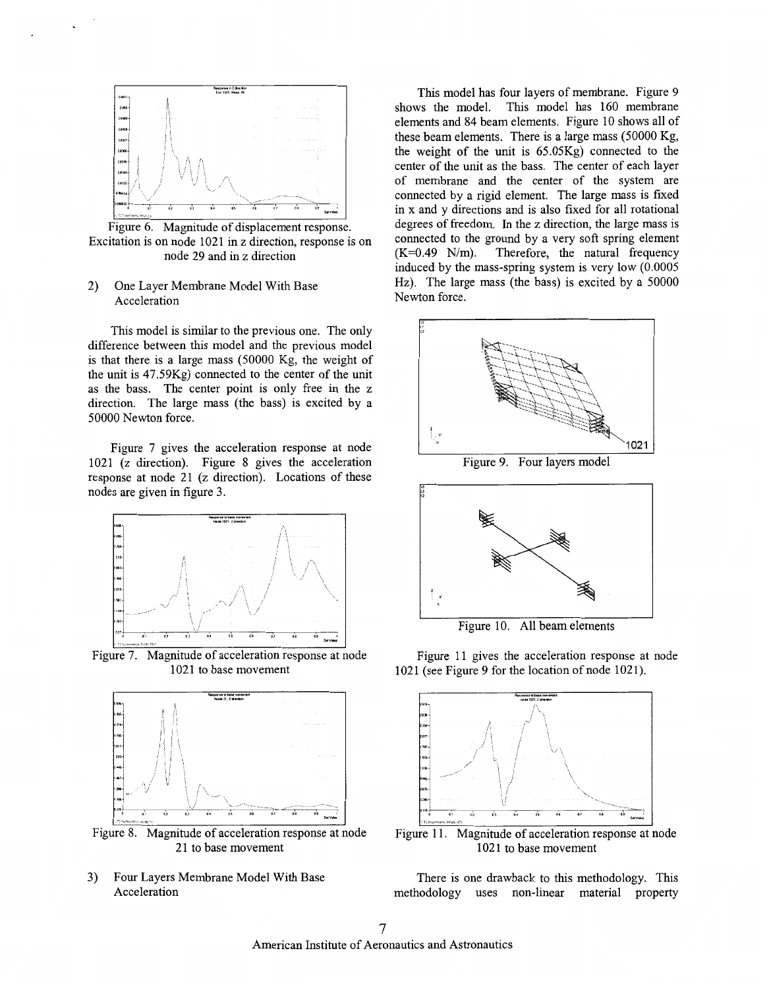<span id="page-6-0"></span>

Figure 6. Magnitude of displacement response. Excitation is on node 1021 in *z* direction, response is on node 29 and in *z* direction

### 2) One Layer Membrane Model With Base Acceleration

This model is similar to the previous one. The only difference between this model and the previous model is that there is a large mass (50000 Kg, the weight of the unit is 47.59Kg) connected to the center of the unit as the bass. The center point is only free in the **z**  direction. The large mass (the bass) is excited by a 50000 Newton force.

Figure 7 gives the acceleration response at node 1021 *(z* direction). Figure 8 gives the acceleration response at node 21 *(z* direction). Locations of these nodes are given in [figure 3.](#page-5-0)



Figure 7. Magnitude of acceleration response at node 1021 to base movement



Figure 8. Magnitude of acceleration response at node 21 to base movement

3) Four Layers Membrane Model With Base Acceleration

This model has four layers of membrane. Figure 9 shows the model. This model has 160 membrane elements and 84 beam elements. Figure 10 shows all of these beam elements. There is a large mass (50000 Kg, the weight of the unit is 65.05Kg) connected to the center of the unit as the bass. The center of each layer of membrane and the center of the system are connected by a rigid element. The large mass is fixed in x and y directions and is also fixed for all rotational degrees of freedom. In the *z* direction, the large mass is connected to the ground by a very soft spring element  $(K=0.49 \text{ N/m})$ . Therefore, the natural frequency induced by the mass-spring system is very low (0.0005 Hz). The large mass (the bass) is excited by a 50000 Newton force.





Figure 10. All beam elements

Figure 11 gives the acceleration response at node 1021 (see Figure 9 for the location of node 1021).



Figure 11. Magnitude of acceleration response at node 1021 to base movement

There is one drawback to this methodology. This methodology uses non-linear material property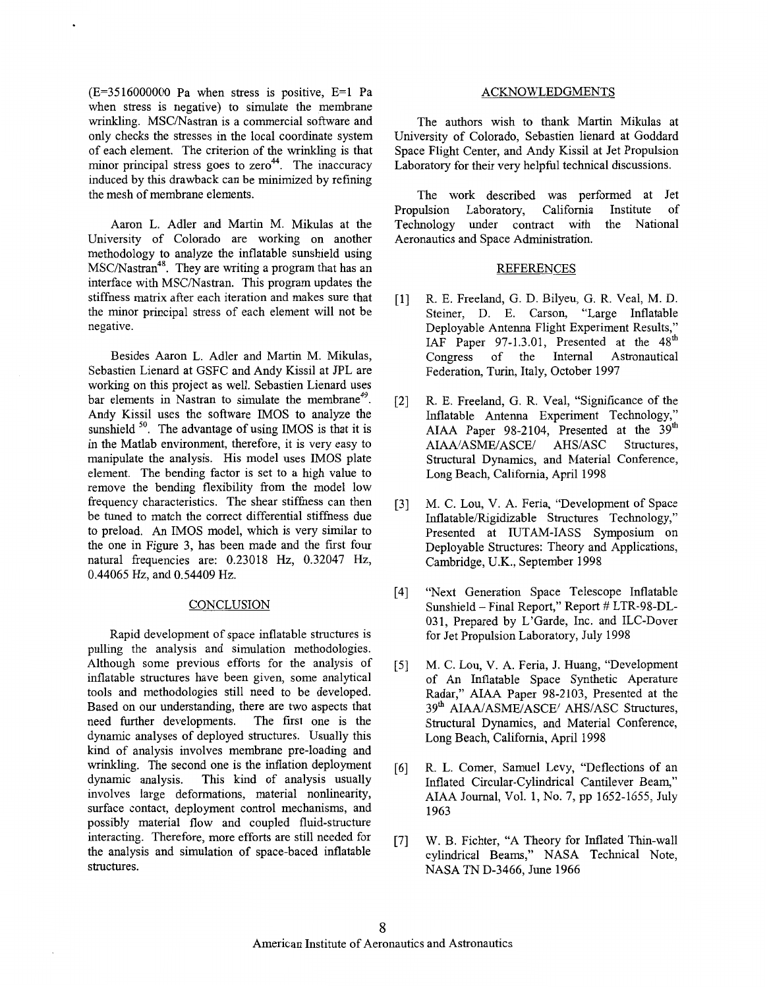<span id="page-7-0"></span> $(E=3516000000$  Pa when stress is positive,  $E=1$  Pa when stress is negative) to simulate the membrane wrinkling. MSC/Nastran is a commercial software and only checks the stresses in the local coordinate system of each element. The criterion of the wrinkling is that minor principal stress goes to  $zero<sup>44</sup>$ . The inaccuracy induced by this drawback can be minimized by refining the mesh of membrane elements.

Aaron L. Adler and Martin M. Mikulas at the University of Colorado are working on another methodology to analyze the inflatable sunshield using MSC/Nastran<sup>48</sup>. They are writing a program that has an interface with MSC/Nastran. This program updates the stiffness matrix after each iteration and makes sure that the minor principal stress of each element will not be negative.

Besides Aaron L. Adler and Martin M. Mikulas, Sebastien Lienard at GSFC and Andy Kissil at JPL are working on this project as well. Sebastien Lienard uses bar elements in Nastran to simulate the membrane<sup>49</sup>. Andy Kissil uses the software IMOS to analyze the sunshield  $50$ . The advantage of using IMOS is that it is in the Matlab environment, therefore, it is very easy to manipulate the analysis. His model uses IMOS plate element. The bending factor is set to a high value to remove the bending flexibility from the model low frequency characteristics. The shear stiffness can then be tuned to match the correct differential stiffness due to preload. An IMOS model, which is very similar to the one in Figure 3, has been made and the first four natural frequencies are: 0.23018 Hz, 0.32047 Hz, 0.44065 Hz, and 0.54409 Hz.

### **CONCLUSION**

Rapid development of space inflatable structures is pulling the analysis and simulation methodologies. Although some previous efforts for the analysis of inflatable structures have been given, some analytical tools and methodologies still need to be developed. Based on our understanding, there are two aspects that need further developments. The first one is the dynamic analyses of deployed structures. Usually ths kind of analysis involves membrane pre-loading and wrinkling. The second one is the inflation deployment dynamic analysis. This kind of analysis usually This kind of analysis usually involves large deformations, material nonlinearity, surface contact, deployment control mechanisms, and possibly material flow and coupled fluid-structure interacting. Therefore, more efforts are still needed for the analysis and simulation of space-baced inflatable structures.

### ACKNOWLEDGMENTS

The authors wish to thank Martin Mikulas at University of Colorado, Sebastien lienard at Goddard Space Flight Center, and Andy Kissil at Jet Propulsion Laboratory for their very helpful technical discussions.

The work described was performed at Jet<br>Propulsion Laboratory, California Institute of Propulsion Laboratory, California Institute of under contract with Aeronautics and Space Administration.

#### REFERENCES

- R. E. Freeland, G. D. Bilyeu, G. R. Veal, M. D.  $\lceil 1 \rceil$ Steiner, D. E. Carson, "Large Inflatable Deployable Antenna Flight Experiment Results," IAF Paper 97-1.3.01, Presented at the 48<sup>th</sup> Congress of the Internal Astronautical Federation, Turin, Italy, October 1997
- R. E. Freeland, G. R. Veal, "Significance of the  $\lceil 2 \rceil$ Inflatable Antenna Experiment Technology," AIAA Paper 98-2104, Presented at the 39<sup>th</sup><br>AIAA/ASME/ASCE/ AHS/ASC Structures, AIAA/ASME/ASCE/ Structural Dynamics, and Material Conference, Long Beach, California, April 1998
- M. C. Lou, V. A. Feria, "Development of Space  $\lceil 3 \rceil$ Inflatable/Rigidizable Structures Technology," Presented at IUTAM-IASS Symposium on Deployable Structures: Theory and Applications, Cambridge, U.K., September 1998
- "Next Generation Space Telescope Inflatable  $\lceil 4 \rceil$ Sunshield - Final Report," Report # LTR-98-DL-03 1, Prepared by L'Garde, Inc. and ILC-Dover for Jet Propulsion Laboratory, July 1998
- M. C. Lou, V. A. Feria, J. Huang, "Development of An Inflatable Space Synthetic Aperature Radar," AIAA Paper 98-2103, Presented at the 39<sup>th</sup> AIAA/ASME/ASCE/ AHS/ASC Structures, Structural Dynamics, and Material Conference, Long Beach, California, April 1998
- R. L. Comer, Samuel Levy, "Deflections of an  $[6]$ Inflated Circular-Cylindrical Cantilever Beam," AIAA Journal, Vol. 1, No. 7, pp 1652-1655, July 1963
- $[7]$ W. B. Fichter, "A Theory for Inflated Thin-wall cylindrical Beams," NASA Technical Note, NASA TN D-3466, June 1966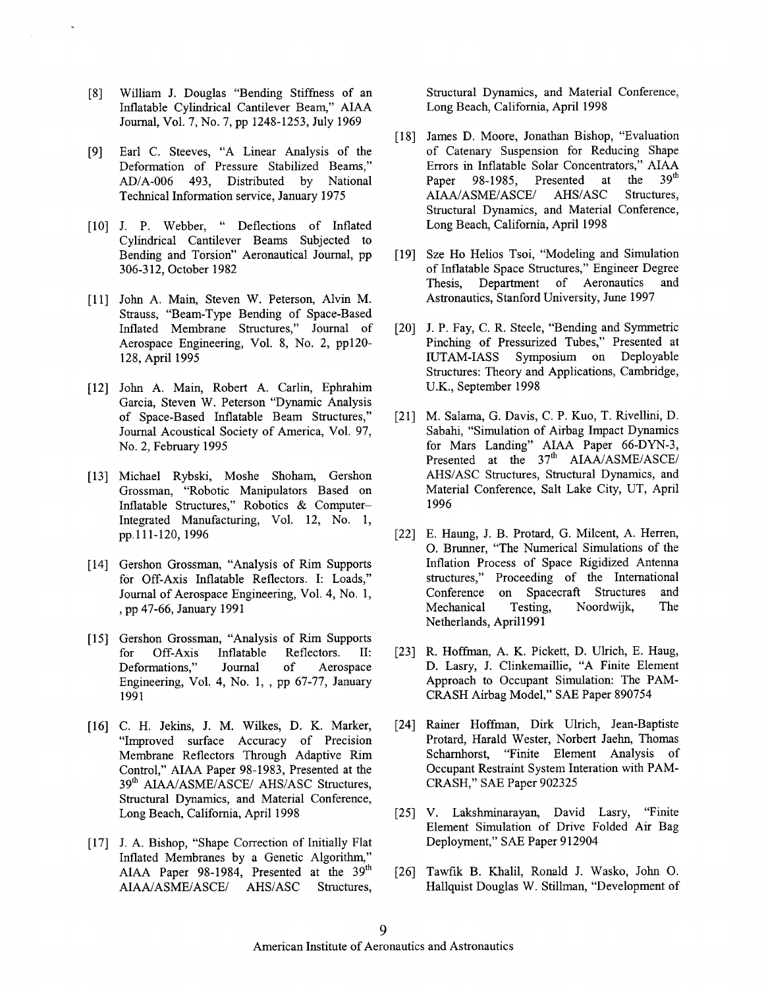- $[8]$ William J. Douglas "Bending Stiffness of an Inflatable Cylindrical Cantilever Beam," AIAA [Journal, Vol. 7, No. 7,](#page-6-0) pp 1248-1253, July 1969
- Earl C. Steeves, "A Linear Analysis of the  $[9]$ Deformation of Pressure Stabilized Beams," AD/A-006 493, Distributed by National Technical Information service, January 1975
- [10] J. P. Webber, " Deflections of Inflated Cylindrical Cantilever Beams Subjected to Bending and Torsion" Aeronautical Journal, pp 306-312, October 1982
- [11] John A. Main, Steven W. Peterson, Alvin M. Strauss, "Beam-Type Bending of Space-Based Inflated Membrane Structures," Journal of [Aerospace Engineering, Vol. 8,](#page-7-0) [No. 2,](#page-1-0) pp120- 128, April 1995
- John A. Main, Robert A. Carlin, Ephrahim Garcia, Steven W. Peterson "Dynamic Analysis of Space-Based Inflatable Beam Structures," Journal Acoustical Society of America, Vol. 97, [No. 2,](#page-1-0) February 1995
- [13] Michael Rybski, Moshe Shoham, Gershon Grossman, "Robotic Manipulators Based on Inflatable Structures," Robotics & Computer-Integrated Manufacturing, Vol. 12, [No. 1,](#page-0-0) pp.111-120, 1996
- [14] Gershon Grossman, "Analysis of Rim Supports for Off-Axis Inflatable Reflectors. I: Loads," [Journal of Aerospace Engineering, Vol.](#page-3-0) **4,** [No. 1,](#page-0-0) , pp 47-66, January 1991
- [15] Gershon Grossman, "Analysis of Rim Supports for Off-Axis Inflatable Reflectors. 11: Deformations," Journal of Aerospace [Engineering, Vol. 4, No. 1,](#page-0-0) , pp 67-77, January 1991
- [16] C. H. Jekins, J. M. Wilkes, D. K. Marker, "Improved surface Accuracy of Precision Membrane Reflectors Through Adaptive Rim Control," AIAA Paper 98-1983, Presented at the 39<sup>th</sup> AIAA/ASME/ASCE/ AHS/ASC Structures, Structural Dynamics, and Material Conference, Long Beach, California, April 1998
- [17] J. A. Bishop, "Shape Correction of Initially Flat Inflated Membranes by a Genetic Algorithm," AIAA Paper 98-1984, Presented at the 39<sup>th</sup> AIAA/ASME/ASCE/ AHSIASC Structures,

Structural Dynamics, and Material Conference, Long Beach, California, April 1998

- [18] James D. Moore, Jonathan Bishop, "Evaluation of Catenary Suspension for Reducing Shape Errors in Inflatable Solar Concentrators," AIAA<br>Paper 98-1985 Presented at the 39<sup>th</sup> Paper 98-1985, Presented at the AIAA/ASME/ASCE/ AHS/ASC Structures, Structural Dynamics, and Material Conference, Long Beach, California, April 1998
- [19] Sze Ho Helios Tsoi, "Modeling and Simulation of Inflatable Space Structures," Engineer Degree Thesis, Department of Aeronautics and Astronautics, Stanford University, June 1997
- [20] J. P. Fay, C. R. Steele, "Bending and Symmetric Pinching of Pressurized Tubes," Presented at IUTAM-IASS Symposium on Deployable Structures: Theory and Applications, Cambridge, U.K., September 1998
- M. Salama, G. Davis, C. P. Kuo, T. Rivellini, D. Sabahi, "Simulation of Airbag Impact Dynamics for Mars Landing" AIAA Paper 66-DYN-3, Presented at the  $37<sup>th</sup>$  AIAA/ASME/ASCE/ AHS/ASC Structures, Structural Dynamics, and Material Conference, Salt Lake City, UT, April 1996
- [22] E. Haung, J. B. Protard, G. Milcent, A. Herren, 0. Brunner, "The Numerical Simulations of the Inflation Process of Space Rigidized Antenna structures," Proceeding of the International Conference on Spacecraft Structures and Mechanical Testing, Noordwijk, The Netherlands, April1991
- [23] R. Hoffman, A. K. Pickett, D. Ulrich, E. Haug, D. Lasry, J. Clinkemaillie, "A Finite Element Approach to Occupant Simulation: The PAM-CRASH Airbag Model," SAE Paper 890754
- [24] Rainer Hoffman, Dirk Ulrich, Jean-Baptiste Protard, Harald Wester, Norbert Jaehn, Thomas Scharnhorst, "Finite Element Analysis of Occupant Restraint System Interation with PAM-CRASH," SAE Paper 902325
- [25] V. Lakshminarayan, David Lasry, "Finite Element Simulation of Drive Folded Air Bag Deployment," SAE Paper 912904
- [26] Tawfik B. Khalil, Ronald J. Wasko, John O. Hallquist Douglas W. Stillman, "Development of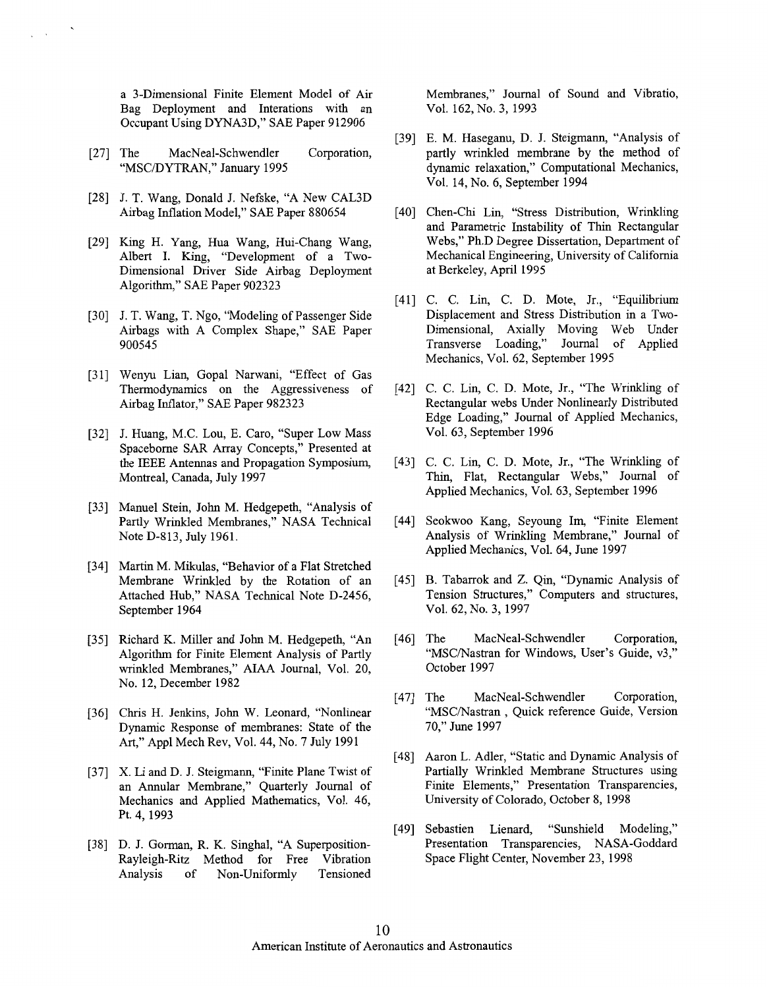a 3-Dimensional Finite Element Model of Air Bag Deployment and Interations with an Occupant Using DYNA3D," SAE Paper 912906

- [27] The MacNeal-Schwendler Corporation, "MSC/DYTRAN," January 1995
- [28] J. T. Wang, Donald J. Nefske, "A New CAL3D Airbag Inflation Model,'' SAE Paper 880654
- [29] King H. Yang, Hua Wang, Hui-Chang Wang, Albert I. King, "Development of a Two-Dimensional Driver Side Airbag Deployment Algorithm," SAE Paper 902323
- [30] J. T. Wang, T. Ngo, "Modeling of Passenger Side Airbags with A Complex Shape," SAE Paper 900545
- Wenyu Lian, Gopal Narwani, "Effect of Gas Thermodynamics on the Aggressiveness of Airbag Inflator," SAE Paper 982323
- [32] J. Huang, M.C. Lou, E. Caro, "Super Low Mass Spaceborne SAR Array Concepts," Presented at the IEEE Antennas and Propagation Symposium, Montreal, Canada, July 1997
- [33] Manuel Stein, John M. Hedgepeth, "Analysis of Partly Wrinkled Membranes," NASA Technical Note D-813, July 1961.
- [34] Martin M. Mikulas, "Behavior of a Flat Stretched Membrane Wrinkled by the Rotation of an Attached Hub," NASA Technical Note D-2456, September 1964
- [35] Richard K. Miller and John M. Hedgepeth, "An Algorithm for Finite Element Analysis of Partly wrinkled Membranes," AIAA Journal, Vol. 20, No. 12, December 1982
- [36] Chris H. Jenkins, John W. Leonard, "Nonlinear Dynamic Response of membranes: State of the Art," Appl Mech Rev, Vol. 44, [No. 7](#page-6-0) July 1991
- [37] X. Li and D. J. Steigmann, "Finite Plane Twist of an Annular Membrane," Quarterly Journal of Mechanics and Applied Mathematics, Vol. 46, [Pt. 4,](#page-3-0) 1993
- [38] D. J. Gorman, R. K. Singhal, "A Superposition-Rayleigh-Ritz Method for Free Vibration Analysis of Non-Uniformly Tensioned

Membranes," Journal of Sound and Vibratio, Vol. 162, [No. 3,](#page-2-0) 1993

- [39] E. M. Haseganu, D. J. Steigmann, "Analysis of partly wrinkled membrane by the method of dynamic relaxation," Computational Mechanics, Vol. 14, [No. 6,](#page-5-0) September 1994
- [40] Chen-Chi Lin, "Stress Distribution, Wrinkling and Parametric Instability of Thin Rectangular Webs," Ph.D Degree Dissertation, Department of Mechanical Engineering, University of California at Berkeley, April 1995
- [41] C. C. Lin, C. D. Mote, Jr., "Equilibrium Displacement and Stress Distribution in a Two-Dimensional, Axially Moving Web Under Transverse Loading," Journal of Applied Mechanics, Vol. 62, September 1995
- [42] C. C. Lin, C. D. Mote, Jr., "The Wrinkling of Rectangular webs Under Nonlinearly Distributed Edge Loading," Journal of Applied Mechanics, Vol. 63, September 1996
- [43] C. C. Lin, C. D. Mote, Jr., "The Wrinkling of Thin, Flat, Rectangular Webs," Journal of Applied Mechanics, Vol. 63, September 1996
- Seokwoo Kang, Seyoung Im, "Finite Element Analysis of Wrinkling Membrane," Journal of Applied Mechanics, Vol. 64, June 1997
- [45] B. Tabarrok and Z. Qin, "Dynamic Analysis of Tension Structures," Computers and structures, Vol. 62, [No. 3,](#page-2-0) 1997
- [46] The MacNeal-Schwendler Corporation, "MSC/Nastran for Windows, User's Guide, v3," October 1997
- [47] The MacNeal-Schwendler Corporation, "MSC/Nastran, Quick reference Guide, Version 70," June 1997
- [48] Aaron L. Adler, "Static and Dynamic Analysis of Partially Wrinkled Membrane Structures using Finite Elements," Presentation Transparencies, [University of Colorado, October 8,](#page-7-0) 1998
- [49] Sebastien Lienard, "Sunshield Modeling," Presentation Transparencies, NASA-Goddard Space Flight Center, November 23, 1998